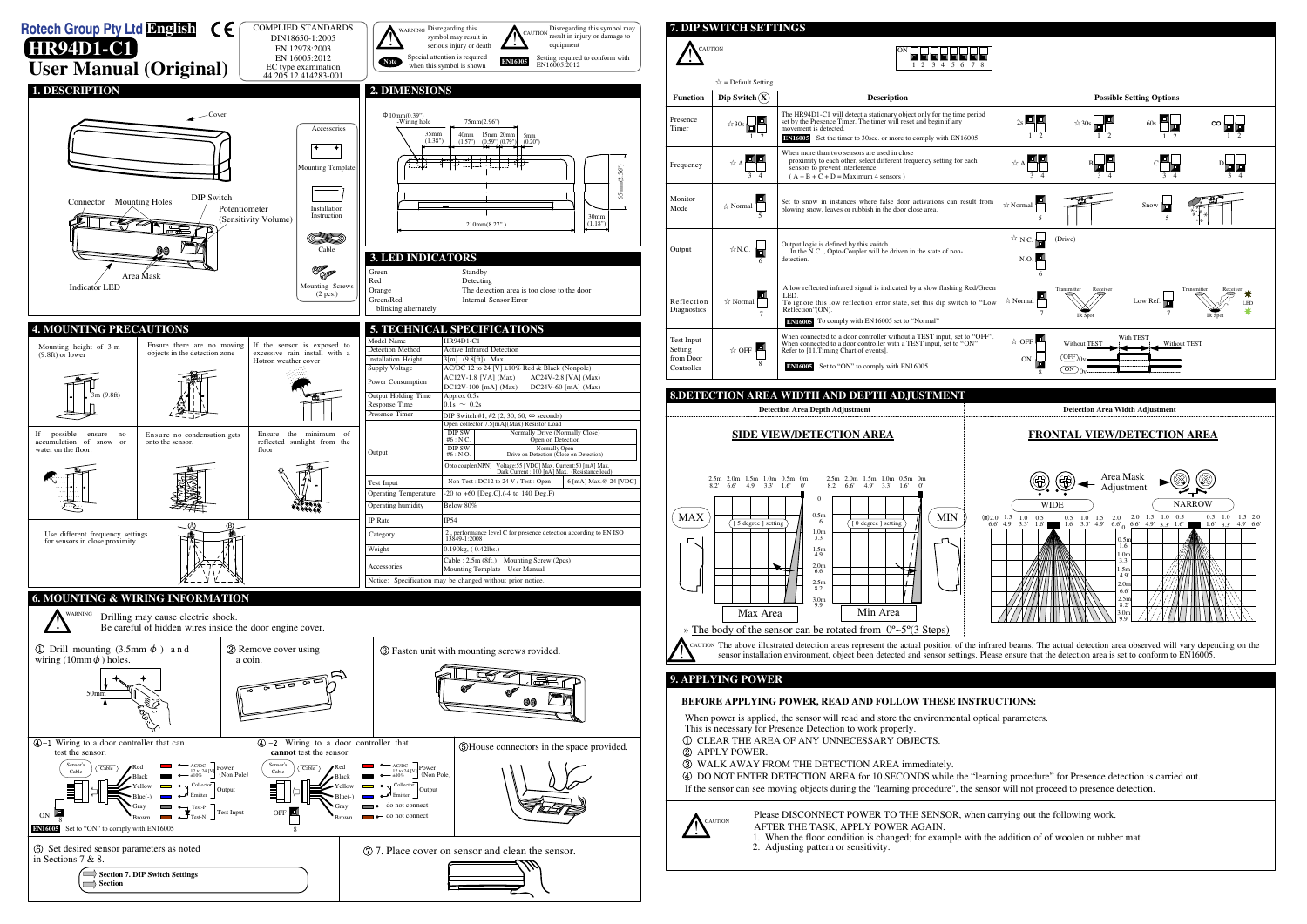#### **7. DIP SWITCH SETTINGS INCAUTION** ON 7 4 4 4 4 4 4 4 1 2 3 4 5 6 7 8  $\hat{x}$  = Default Setting **Function Possible Setting Options Possible Setting Options Dip Switch**  $\overline{X}$ **Description** The HR94D1-C1 will detect a stationary object only for the time period  $\star$ 30s $\boxed{1}$ Presence set by the Presence Timer. The timer will reset and begin if any Timer nt is detected.  $\overline{1}$   $\overline{2}$ **EN16005** Set the timer to 30sec. or more to comply with EN16005 When more than two sensors are used in close proximity to each other, select different frequency setting for each Frequency ☆ A sensors to prevent interference.  $(A + B + C + D) =$  Maximum 4 sensors ) 3 4 ᆁ Monito Set to snow in instances where false door activations can result from ☆ Normal Showing snow, leaves or rubbish in the door close area.  $\therefore$   $\therefore$  Normal  $\Box$   $\Rightarrow$  T Mode 5 ☆N.C. Output logic is defined by this switch. In the N.C. , Opto-Coupler will be driven in the state of non-Output detection. 6 A low reflected infrared signal is indicated by a slow flashing Red/Green  $\angle$  Normal LED. Reflection To ignore this low reflection error state, set this dip switch to "Low Reflection"(ON). **Diagnostics** 7 **EN16005** To comply with EN16005 set to "Normal" When connected to a door controller without a TEST input, set to "OFF". When connected to a door controller with a TEST input, set to "ON" Test Input  $\star$  OFF  $\blacksquare$ Setting Refer to [11.Timing Chart of events]. from Door<br>Controller 8 Controller **Controller Controller Controller Controller Controller Controller EN16005 8.DETECTION AREA WIDTH AND DEPTH ADJUSTMENT Detection Area Depth Adjustment Detection Area Width Adjustment SIDE VIEW/DETECTION AREA FRONTAL VIEW/DETECTION AREA** 2.5m 2.0m 1.5m 1.0m 0.5m 0m 2.5m 2.0m 1.5m 1.0m 0.5m 0m 8.2' 6.6' 4.9' 3.3' 1.6' 0' 8.2' 6.6' 4.9' 3.3' 1.6' 0'  $\boldsymbol{0}$ MAX MIN 0.5m 1.6'  $\sqrt{0}$  degree 1.0m 3.3' 1.5m 4.9' 2.0m 6.6' 2.5m 8.2' 3.0m 9.9' Max Area | Min Area » The body of the sensor can be rotated from  $0^{\circ}$  ~5 $^{\circ}$ (3 Steps)



The above illustrated detection areas represent the actual position of the infrared beams. The actual detection area observed will vary depending on the sensor installation environment, object been detected and sensor sett sensor installation environment, object been detected and sensor settings. Please ensure that the detection area is set to conform to EN16005.





# **9. APPLYING POWER**



#### **BEFORE APPLYING POWER, READ AND FOLLOW THESE INSTRUCTIONS:**

 When power is applied, the sensor will read and store the environmental optical parameters. This is necessary for Presence Detection to work properly.

- ① CLEAR THE AREA OF ANY UNNECESSARY OBJECTS.
- ② APPLY POWER.
- ③ WALK AWAY FROM THE DETECTION AREA immediately.
- 

④ DO NOT ENTER DETECTION AREA for 10 SECONDS while the "learning procedure" for Presence detection is carried out. If the sensor can see moving objects during the "learning procedure", the sensor will not proceed to presence detection.

> Please DISCONNECT POWER TO THE SENSOR, when carrying out the following work. AFTER THE TASK, APPLY POWER AGAIN. 1. When the floor condition is changed; for example with the addition of of woolen or rubber mat.

2. Adjusting pattern or sensitivity.